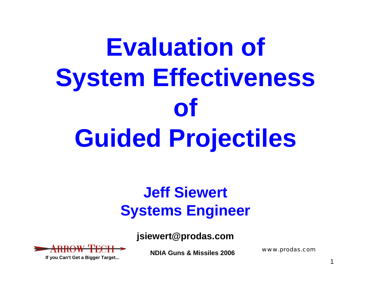# **Evaluation of System Effectiveness of Guided Projectiles**

### **Jeff Siewert Systems Engineer**

**jsiewert@prodas.com**



**If you Can't Get a Bigger Target...**

**NDIA Guns & Missiles 2006**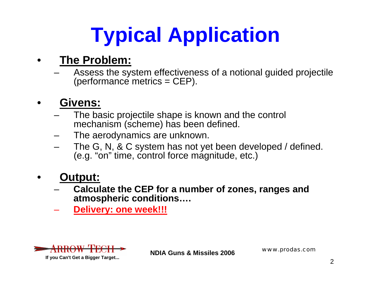# **Typical Application**

#### •**The Problem:**

 Assess the system effectiveness of a notional guided projectile (performance metrics = CEP).

#### •**Givens:**

- The basic projectile shape is known and the control mechanism (scheme) has been defined.
- The aerodynamics are unknown.
- The G, N, & C system has not yet been developed / defined. (e.g. "on" time, control force magnitude, etc.)

#### •**Output:**

- **Calculate the CEP for a number of zones, ranges and atmospheric conditions….**
- **Delivery: one week!!!**



**If you Can't Get a Bigger Target...**

**NDIA Guns & Missiles 2006**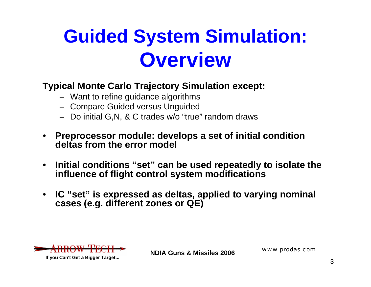### **Guided System Simulation: Overview**

### **Typical Monte Carlo Trajectory Simulation except:**

- Want to refine guidance algorithms
- Compare Guided versus Unguided
- Do initial G,N, & C trades w/o "true" random draws
- **Preprocessor module: develops a set of initial condition deltas from the error model**
- • **Initial conditions "set" can be used repeatedly to isolate the influence of flight control system modifications**
- • **IC "set" is expressed as deltas, applied to varying nominal cases (e.g. different zones or QE)**



**If you Can't Get a Bigger Target...**

**NDIA Guns & Missiles 2006**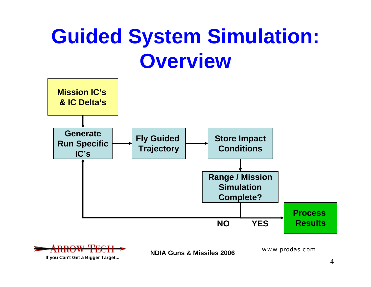### **Guided System Simulation: Overview**



**If you Can't Get a Bigger Target...**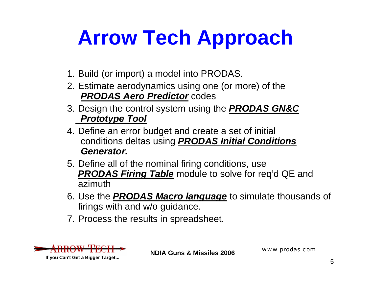## **Arrow Tech Approach**

- 1. Build (or import) a model into PRODAS.
- 2. Estimate aerodynamics using one (or more) of the *PRODAS Aero Predictor* codes
- 3. Design the control system using the *PRODAS GN&C Prototype Tool*
- 4. Define an error budget and create a set of initial conditions deltas using *PRODAS Initial Conditions Generator.*
- 5. Define all of the nominal firing conditions, use *PRODAS Firing Table* module to solve for req'd QE and azimuth
- 6. Use the *PRODAS Macro language* to simulate thousands of firings with and w/o guidance.
- 7. Process the results in spreadsheet.



**NDIA Guns & Missiles 2006**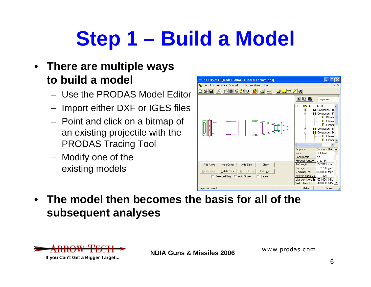# **Step 1 – Build a Model**

### • **There are multiple ways to build a model**

- Use the PRODAS Model Editor
- Import either DXF or IGES files
- Point and click on a bitmap of an existing projectile with the PRODAS Tracing Tool
- Modify one of the existing models



• **The model then becomes the basis for all of the subsequent analyses**



**NDIA Guns & Missiles 2006**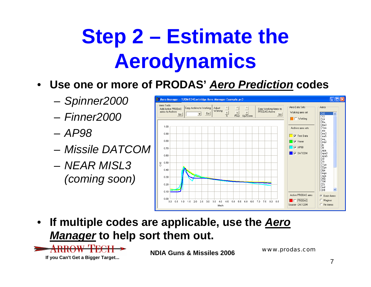### **Step 2 – Estimate the Aerodynamics**

- $\bullet$  **Use one or more of PRODAS'** *Aero Prediction* **codes**
	- *Spinner2000*
	- *Finner2000*
	- *AP98*
	- *Missile DATCOM*
	- *NEAR MISL3 (coming soon)*



• **If multiple codes are applicable, use the** *Aero Manager* **to help sort them out.**



**NDIA Guns & Missiles 2006**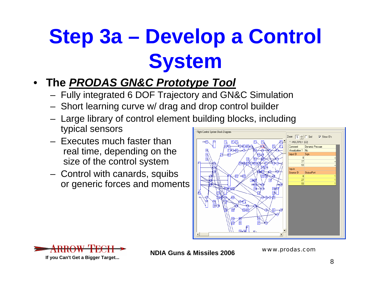## **Step 3a – Develop a Control System**

- **The** *PRODAS GN&C Prototype Tool*
	- Fully integrated 6 DOF Trajectory and GN&C Simulation
	- Short learning curve w/ drag and drop control builder
	- Large library of control element building blocks, including typical sensors Flight Control System Block Diagram
	- Executes much faster thanreal time, depending on the size of the control system
	- Control with canards, squibs or generic forces and moments





**NDIA Guns & Missiles 2006**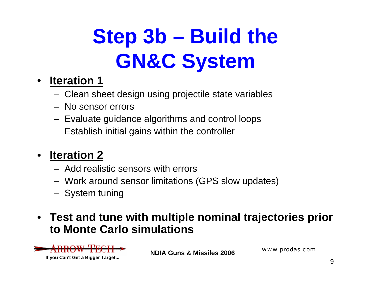## **Step 3b – Build the GN&C System**

#### $\bullet$ **Iteration 1**

- Clean sheet design using projectile state variables
- No sensor errors
- Evaluate guidance algorithms and control loops
- Establish initial gains within the controller

#### •**Iteration 2**

- Add realistic sensors with errors
- Work around sensor limitations (GPS slow updates)
- System tuning
- **Test and tune with multiple nominal trajectories prior to Monte Carlo simulations**



**NDIA Guns & Missiles 2006**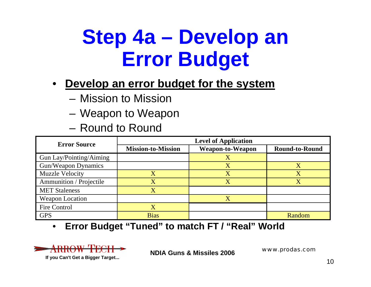### **Step 4a – Develop an Error Budget**

- $\bullet$  **Develop an error budget for the system**
	- Mission to Mission
	- Weapon to Weapon
	- Round to Round

| <b>Error Source</b>            | <b>Level of Application</b> |                         |                       |
|--------------------------------|-----------------------------|-------------------------|-----------------------|
|                                | <b>Mission-to-Mission</b>   | <b>Weapon-to-Weapon</b> | <b>Round-to-Round</b> |
| <b>Gun Lay/Pointing/Aiming</b> |                             |                         |                       |
| Gun/Weapon Dynamics            |                             | X                       |                       |
| <b>Muzzle Velocity</b>         | X                           | X                       | X                     |
| Ammunition / Projectile        | X                           |                         |                       |
| <b>MET Staleness</b>           |                             |                         |                       |
| <b>Weapon Location</b>         |                             | X                       |                       |
| Fire Control                   |                             |                         |                       |
| <b>GPS</b>                     | <b>Bias</b>                 |                         | Random                |

 $\bullet$ **Error Budget "Tuned" to match FT / "Real" World**

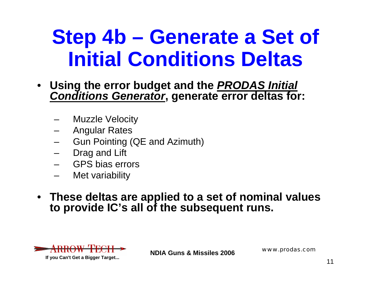### **Step 4b – Generate a Set of Initial Conditions Deltas**

- **Using the error budget and the** *PRODAS Initial Conditions Generator***, generate error deltas for:**
	- Muzzle Velocity
	- Angular Rates
	- Gun Pointing (QE and Azimuth)
	- Drag and Lift
	- GPS bias errors
	- Met variability
- **These deltas are applied to a set of nominal values to provide IC's all of the subsequent runs.**



**NDIA Guns & Missiles 2006**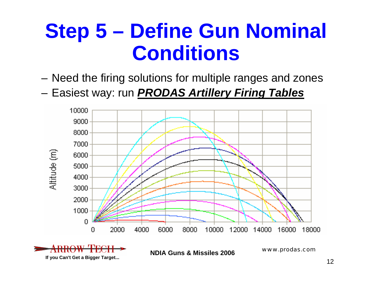### **Step 5 – Define Gun Nominal Conditions**

- Need the firing solutions for multiple ranges and zones
- Easiest way: run *PRODAS Artillery Firing Tables*

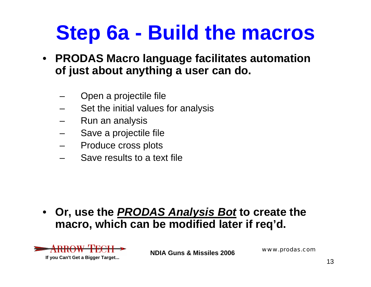### **Step 6a - Build the macros**

- **PRODAS Macro language facilitates automation of just about anything a user can do.**
	- Open a projectile file
	- Set the initial values for analysis
	- Run an analysis
	- Save a projectile file
	- Produce cross plots
	- Save results to a text file

• **Or, use the** *PRODAS Analysis Bot* **to create the macro, which can be modified later if req'd.**



**NDIA Guns & Missiles 2006**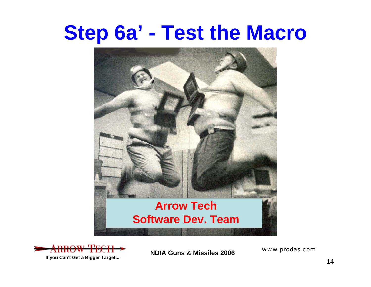### **Step 6a' - Test the Macro**





**NDIA Guns & Missiles 2006**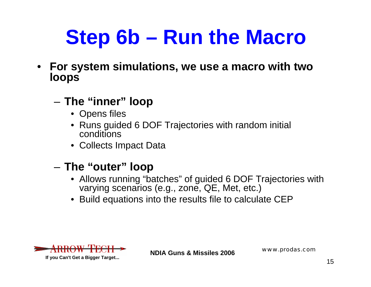### **Step 6b – Run the Macro**

- • **For system simulations, we use a macro with two loops**
	- **The "inner" loop**
		- Opens files
		- Runs guided 6 DOF Trajectories with random initial conditions
		- Collects Impact Data

#### –**The "outer" loop**

- Allows running "batches" of guided 6 DOF Trajectories with varying scenarios (e.g., zone, QE, Met, etc.)
- Build equations into the results file to calculate CEP



**If you Can't Get a Bigger Target...**

**NDIA Guns & Missiles 2006**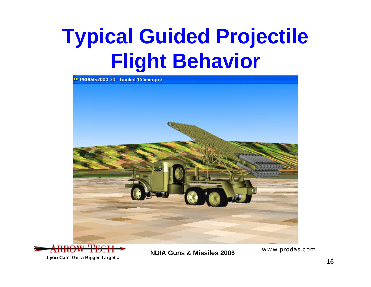### **Typical Guided Projectile Flight Behavior**





**If you Can't Get a Bigger Target...**

**NDIA Guns & Missiles 2006**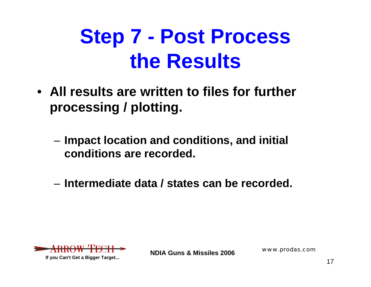### **Step 7 - Post Process the Results**

- **All results are written to files for further processing / plotting.**
	- **Impact location and conditions, and initial conditions are recorded.**
	- **Intermediate data / states can be recorded.**



**NDIA Guns & Missiles 2006**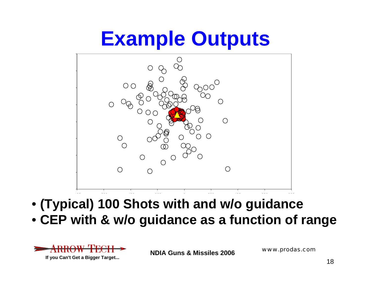### **Example Outputs**



- **(Typical) 100 Shots with and w/o guidance**
- **CEP with & w/o guidance as a function of range**



**NDIA Guns & Missiles 2006**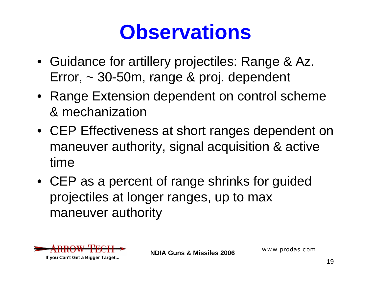### **Observations**

- Guidance for artillery projectiles: Range & Az. Error, ~ 30-50m, range & proj. dependent
- Range Extension dependent on control scheme & mechanization
- CEP Effectiveness at short ranges dependent on maneuver authority, signal acquisition & active time
- CEP as a percent of range shrinks for guided projectiles at longer ranges, up to max maneuver authority



**NDIA Guns & Missiles 2006**